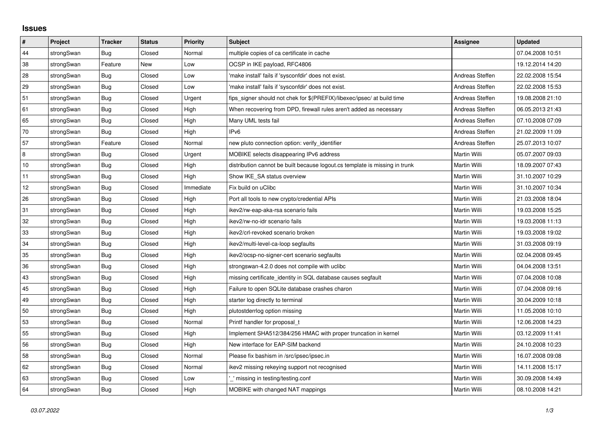## **Issues**

| $\vert$ # | Project    | <b>Tracker</b> | <b>Status</b> | <b>Priority</b> | <b>Subject</b>                                                              | <b>Assignee</b>     | <b>Updated</b>   |
|-----------|------------|----------------|---------------|-----------------|-----------------------------------------------------------------------------|---------------------|------------------|
| 44        | strongSwan | Bug            | Closed        | Normal          | multiple copies of ca certificate in cache                                  |                     | 07.04.2008 10:51 |
| 38        | strongSwan | Feature        | New           | Low             | OCSP in IKE payload, RFC4806                                                |                     | 19.12.2014 14:20 |
| 28        | strongSwan | Bug            | Closed        | Low             | 'make install' fails if 'sysconfdir' does not exist.                        | Andreas Steffen     | 22.02.2008 15:54 |
| 29        | strongSwan | Bug            | Closed        | Low             | 'make install' fails if 'sysconfdir' does not exist.                        | Andreas Steffen     | 22.02.2008 15:53 |
| 51        | strongSwan | Bug            | Closed        | Urgent          | fips_signer should not chek for \$(PREFIX)/libexec/ipsec/ at build time     | Andreas Steffen     | 19.08.2008 21:10 |
| 61        | strongSwan | Bug            | Closed        | High            | When recovering from DPD, firewall rules aren't added as necessary          | Andreas Steffen     | 06.05.2013 21:43 |
| 65        | strongSwan | Bug            | Closed        | High            | Many UML tests fail                                                         | Andreas Steffen     | 07.10.2008 07:09 |
| 70        | strongSwan | <b>Bug</b>     | Closed        | High            | IPv6                                                                        | Andreas Steffen     | 21.02.2009 11:09 |
| 57        | strongSwan | Feature        | Closed        | Normal          | new pluto connection option: verify identifier                              | Andreas Steffen     | 25.07.2013 10:07 |
| $\,8\,$   | strongSwan | <b>Bug</b>     | Closed        | Urgent          | MOBIKE selects disappearing IPv6 address                                    | Martin Willi        | 05.07.2007 09:03 |
| 10        | strongSwan | Bug            | Closed        | High            | distribution cannot be built because logout.cs template is missing in trunk | Martin Willi        | 18.09.2007 07:43 |
| 11        | strongSwan | Bug            | Closed        | High            | Show IKE SA status overview                                                 | Martin Willi        | 31.10.2007 10:29 |
| 12        | strongSwan | Bug            | Closed        | Immediate       | Fix build on uClibc                                                         | Martin Willi        | 31.10.2007 10:34 |
| 26        | strongSwan | <b>Bug</b>     | Closed        | High            | Port all tools to new crypto/credential APIs                                | Martin Willi        | 21.03.2008 18:04 |
| 31        | strongSwan | Bug            | Closed        | High            | ikev2/rw-eap-aka-rsa scenario fails                                         | Martin Willi        | 19.03.2008 15:25 |
| 32        | strongSwan | Bug            | Closed        | High            | ikev2/rw-no-idr scenario fails                                              | Martin Willi        | 19.03.2008 11:13 |
| 33        | strongSwan | Bug            | Closed        | High            | ikev2/crl-revoked scenario broken                                           | Martin Willi        | 19.03.2008 19:02 |
| 34        | strongSwan | Bug            | Closed        | High            | ikev2/multi-level-ca-loop segfaults                                         | Martin Willi        | 31.03.2008 09:19 |
| 35        | strongSwan | <b>Bug</b>     | Closed        | High            | ikev2/ocsp-no-signer-cert scenario segfaults                                | Martin Willi        | 02.04.2008 09:45 |
| 36        | strongSwan | Bug            | Closed        | High            | strongswan-4.2.0 does not compile with uclibe                               | Martin Willi        | 04.04.2008 13:51 |
| 43        | strongSwan | <b>Bug</b>     | Closed        | High            | missing certificate identity in SQL database causes segfault                | Martin Willi        | 07.04.2008 10:08 |
| 45        | strongSwan | Bug            | Closed        | High            | Failure to open SQLite database crashes charon                              | Martin Willi        | 07.04.2008 09:16 |
| 49        | strongSwan | Bug            | Closed        | High            | starter log directly to terminal                                            | Martin Willi        | 30.04.2009 10:18 |
| 50        | strongSwan | Bug            | Closed        | High            | plutostderrlog option missing                                               | Martin Willi        | 11.05.2008 10:10 |
| 53        | strongSwan | Bug            | Closed        | Normal          | Printf handler for proposal t                                               | Martin Willi        | 12.06.2008 14:23 |
| 55        | strongSwan | <b>Bug</b>     | Closed        | High            | Implement SHA512/384/256 HMAC with proper truncation in kernel              | Martin Willi        | 03.12.2009 11:41 |
| 56        | strongSwan | Bug            | Closed        | High            | New interface for EAP-SIM backend                                           | Martin Willi        | 24.10.2008 10:23 |
| 58        | strongSwan | Bug            | Closed        | Normal          | Please fix bashism in /src/ipsec/ipsec.in                                   | <b>Martin Willi</b> | 16.07.2008 09:08 |
| 62        | strongSwan | Bug            | Closed        | Normal          | ikev2 missing rekeying support not recognised                               | Martin Willi        | 14.11.2008 15:17 |
| 63        | strongSwan | Bug            | Closed        | Low             | ' missing in testing/testing.conf                                           | Martin Willi        | 30.09.2008 14:49 |
| 64        | strongSwan | Bug            | Closed        | High            | MOBIKE with changed NAT mappings                                            | Martin Willi        | 08.10.2008 14:21 |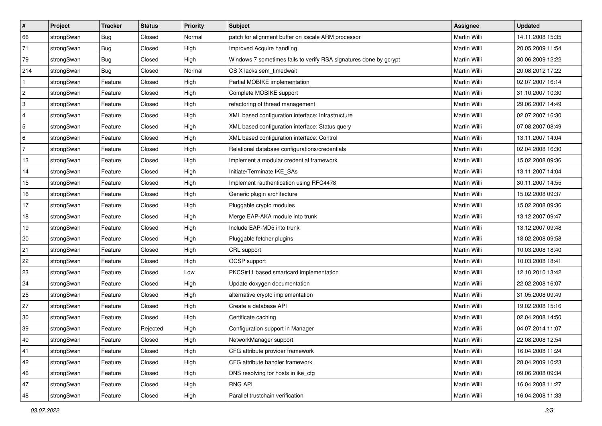| #                         | Project    | <b>Tracker</b> | <b>Status</b> | Priority | <b>Subject</b>                                                    | Assignee            | <b>Updated</b>   |
|---------------------------|------------|----------------|---------------|----------|-------------------------------------------------------------------|---------------------|------------------|
| 66                        | strongSwan | Bug            | Closed        | Normal   | patch for alignment buffer on xscale ARM processor                | Martin Willi        | 14.11.2008 15:35 |
| 71                        | strongSwan | Bug            | Closed        | High     | Improved Acquire handling                                         | Martin Willi        | 20.05.2009 11:54 |
| 79                        | strongSwan | Bug            | Closed        | High     | Windows 7 sometimes fails to verify RSA signatures done by gcrypt | Martin Willi        | 30.06.2009 12:22 |
| 214                       | strongSwan | Bug            | Closed        | Normal   | OS X lacks sem timedwait                                          | Martin Willi        | 20.08.2012 17:22 |
| 1                         | strongSwan | Feature        | Closed        | High     | Partial MOBIKE implementation                                     | Martin Willi        | 02.07.2007 16:14 |
| $\sqrt{2}$                | strongSwan | Feature        | Closed        | High     | Complete MOBIKE support                                           | Martin Willi        | 31.10.2007 10:30 |
| $\ensuremath{\mathsf{3}}$ | strongSwan | Feature        | Closed        | High     | refactoring of thread management                                  | Martin Willi        | 29.06.2007 14:49 |
| $\overline{4}$            | strongSwan | Feature        | Closed        | High     | XML based configuration interface: Infrastructure                 | <b>Martin Willi</b> | 02.07.2007 16:30 |
| $\sqrt{5}$                | strongSwan | Feature        | Closed        | High     | XML based configuration interface: Status query                   | Martin Willi        | 07.08.2007 08:49 |
| 6                         | strongSwan | Feature        | Closed        | High     | XML based configuration interface: Control                        | Martin Willi        | 13.11.2007 14:04 |
| $\overline{7}$            | strongSwan | Feature        | Closed        | High     | Relational database configurations/credentials                    | Martin Willi        | 02.04.2008 16:30 |
| 13                        | strongSwan | Feature        | Closed        | High     | Implement a modular credential framework                          | Martin Willi        | 15.02.2008 09:36 |
| 14                        | strongSwan | Feature        | Closed        | High     | Initiate/Terminate IKE_SAs                                        | Martin Willi        | 13.11.2007 14:04 |
| 15                        | strongSwan | Feature        | Closed        | High     | Implement rauthentication using RFC4478                           | Martin Willi        | 30.11.2007 14:55 |
| 16                        | strongSwan | Feature        | Closed        | High     | Generic plugin architecture                                       | Martin Willi        | 15.02.2008 09:37 |
| 17                        | strongSwan | Feature        | Closed        | High     | Pluggable crypto modules                                          | Martin Willi        | 15.02.2008 09:36 |
| 18                        | strongSwan | Feature        | Closed        | High     | Merge EAP-AKA module into trunk                                   | Martin Willi        | 13.12.2007 09:47 |
| 19                        | strongSwan | Feature        | Closed        | High     | Include EAP-MD5 into trunk                                        | Martin Willi        | 13.12.2007 09:48 |
| 20                        | strongSwan | Feature        | Closed        | High     | Pluggable fetcher plugins                                         | Martin Willi        | 18.02.2008 09:58 |
| 21                        | strongSwan | Feature        | Closed        | High     | CRL support                                                       | Martin Willi        | 10.03.2008 18:40 |
| 22                        | strongSwan | Feature        | Closed        | High     | OCSP support                                                      | Martin Willi        | 10.03.2008 18:41 |
| 23                        | strongSwan | Feature        | Closed        | Low      | PKCS#11 based smartcard implementation                            | Martin Willi        | 12.10.2010 13:42 |
| 24                        | strongSwan | Feature        | Closed        | High     | Update doxygen documentation                                      | Martin Willi        | 22.02.2008 16:07 |
| 25                        | strongSwan | Feature        | Closed        | High     | alternative crypto implementation                                 | Martin Willi        | 31.05.2008 09:49 |
| 27                        | strongSwan | Feature        | Closed        | High     | Create a database API                                             | Martin Willi        | 19.02.2008 15:16 |
| $30\,$                    | strongSwan | Feature        | Closed        | High     | Certificate caching                                               | Martin Willi        | 02.04.2008 14:50 |
| 39                        | strongSwan | Feature        | Rejected      | High     | Configuration support in Manager                                  | <b>Martin Willi</b> | 04.07.2014 11:07 |
| $40\,$                    | strongSwan | Feature        | Closed        | High     | NetworkManager support                                            | Martin Willi        | 22.08.2008 12:54 |
| 41                        | strongSwan | Feature        | Closed        | High     | CFG attribute provider framework                                  | Martin Willi        | 16.04.2008 11:24 |
| 42                        | strongSwan | Feature        | Closed        | High     | CFG attribute handler framework                                   | Martin Willi        | 28.04.2009 10:23 |
| 46                        | strongSwan | Feature        | Closed        | High     | DNS resolving for hosts in ike_cfg                                | Martin Willi        | 09.06.2008 09:34 |
| 47                        | strongSwan | Feature        | Closed        | High     | RNG API                                                           | Martin Willi        | 16.04.2008 11:27 |
| 48                        | strongSwan | Feature        | Closed        | High     | Parallel trustchain verification                                  | Martin Willi        | 16.04.2008 11:33 |